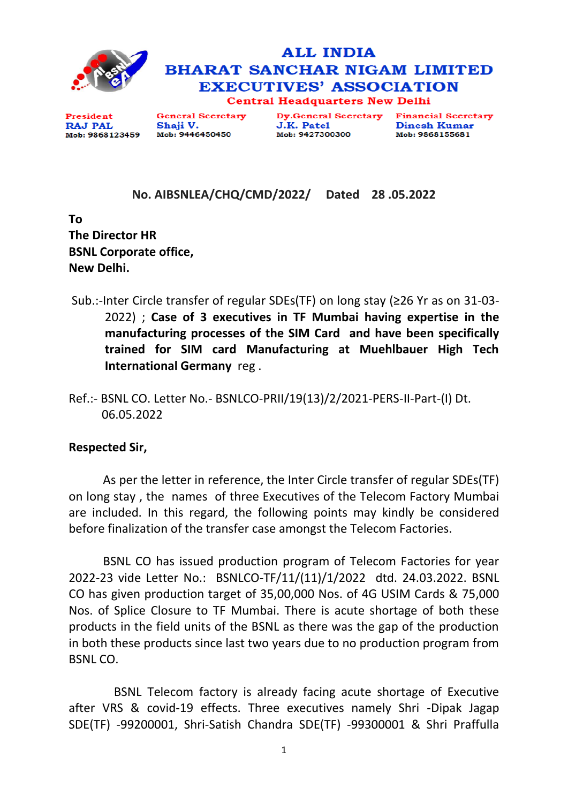



President **RAJ PAL** Mob: 9868123459 **General Secretary** Shaji V. Mob: 9446450450

**Dy.General Secretary** J.K. Patel Mob: 9427300300

**Financial Secretary Dinesh Kumar** Mob: 9868155681

## **No. AIBSNLEA/CHQ/CMD/2022/ Dated 28 .05.2022**

**To The Director HR BSNL Corporate office, New Delhi.** 

- Sub.:-Inter Circle transfer of regular SDEs(TF) on long stay (≥26 Yr as on 31-03- 2022) ; **Case of 3 executives in TF Mumbai having expertise in the manufacturing processes of the SIM Card and have been specifically trained for SIM card Manufacturing at Muehlbauer High Tech International Germany** reg .
- Ref.:- BSNL CO. Letter No.- BSNLCO-PRII/19(13)/2/2021-PERS-II-Part-(I) Dt. 06.05.2022

## **Respected Sir,**

As per the letter in reference, the Inter Circle transfer of regular SDEs(TF) on long stay , the names of three Executives of the Telecom Factory Mumbai are included. In this regard, the following points may kindly be considered before finalization of the transfer case amongst the Telecom Factories.

BSNL CO has issued production program of Telecom Factories for year 2022-23 vide Letter No.: BSNLCO-TF/11/(11)/1/2022 dtd. 24.03.2022. BSNL CO has given production target of 35,00,000 Nos. of 4G USIM Cards & 75,000 Nos. of Splice Closure to TF Mumbai. There is acute shortage of both these products in the field units of the BSNL as there was the gap of the production in both these products since last two years due to no production program from BSNL CO.

 BSNL Telecom factory is already facing acute shortage of Executive after VRS & covid-19 effects. Three executives namely Shri -Dipak Jagap SDE(TF) -99200001, Shri-Satish Chandra SDE(TF) -99300001 & Shri Praffulla